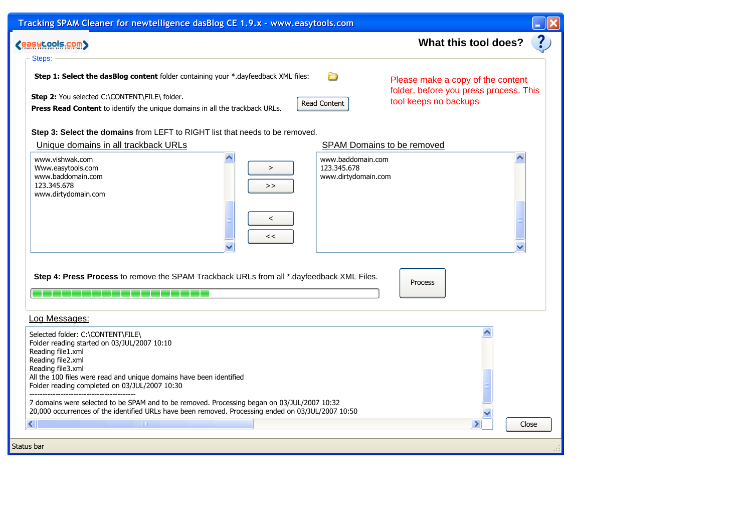| Tracking SPAM Cleaner for newtelligence dasBlog CE 1.9.x - www.easytools.com                                                                                                                                                                                                                                                                     |       |
|--------------------------------------------------------------------------------------------------------------------------------------------------------------------------------------------------------------------------------------------------------------------------------------------------------------------------------------------------|-------|
| What this tool does?<br><b>COSYLOOIS.COM&gt;</b>                                                                                                                                                                                                                                                                                                 | ?     |
| Steps:                                                                                                                                                                                                                                                                                                                                           |       |
| Step 1: Select the dasBlog content folder containing your *.dayfeedback XML files:<br>∩<br>Please make a copy of the content<br>folder, before you press process. This<br>Step 2: You selected C:\CONTENT\FILE\ folder.<br>tool keeps no backups<br>Read Content<br>Press Read Content to identify the unique domains in all the trackback URLs. |       |
| Step 3: Select the domains from LEFT to RIGHT list that needs to be removed.                                                                                                                                                                                                                                                                     |       |
| Unique domains in all trackback URLs<br>SPAM Domains to be removed                                                                                                                                                                                                                                                                               |       |
| www.vishwak.com<br>www.baddomain.com<br>123.345.678<br>Www.easytools.com<br>$\geq$<br>www.baddomain.com<br>www.dirtydomain.com<br>123.345.678<br>><br>www.dirtydomain.com<br>$\,<\,$<br><<                                                                                                                                                       |       |
| Step 4: Press Process to remove the SPAM Trackback URLs from all *.dayfeedback XML Files.<br>Process                                                                                                                                                                                                                                             |       |
| Log Messages:                                                                                                                                                                                                                                                                                                                                    |       |
| Selected folder: C:\CONTENT\FILE\<br>Folder reading started on 03/JUL/2007 10:10<br>Reading file1.xml<br>Reading file2.xml<br>Reading file3.xml<br>All the 100 files were read and unique domains have been identified<br>Folder reading completed on 03/JUL/2007 10:30                                                                          |       |
| 7 domains were selected to be SPAM and to be removed. Processing began on 03/JUL/2007 10:32<br>20,000 occurrences of the identified URLs have been removed. Processing ended on 03/JUL/2007 10:50                                                                                                                                                |       |
| ≺<br>$\parallel$ HH $\parallel$<br>$\mathcal{P}$                                                                                                                                                                                                                                                                                                 | Close |
| Status bar                                                                                                                                                                                                                                                                                                                                       |       |